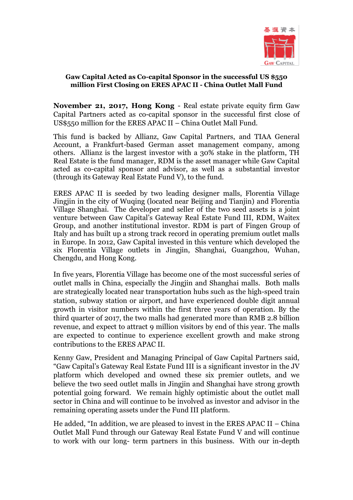

## **Gaw Capital Acted as Co-capital Sponsor in the successful US \$550 million First Closing on ERES APAC II - China Outlet Mall Fund**

**November 21, 2017, Hong Kong** - Real estate private equity firm Gaw Capital Partners acted as co-capital sponsor in the successful first close of US\$550 million for the ERES APAC II – China Outlet Mall Fund.

This fund is backed by Allianz, Gaw Capital Partners, and TIAA General Account, a Frankfurt-based German asset management company, among others. Allianz is the largest investor with a 30% stake in the platform, TH Real Estate is the fund manager, RDM is the asset manager while Gaw Capital acted as co-capital sponsor and advisor, as well as a substantial investor (through its Gateway Real Estate Fund V), to the fund.

ERES APAC II is seeded by two leading designer malls, Florentia Village Jingjin in the city of Wuqing (located near Beijing and Tianjin) and Florentia Village Shanghai. The developer and seller of the two seed assets is a joint venture between Gaw Capital's Gateway Real Estate Fund III, RDM, Waitex Group, and another institutional investor. RDM is part of Fingen Group of Italy and has built up a strong track record in operating premium outlet malls in Europe. In 2012, Gaw Capital invested in this venture which developed the six Florentia Village outlets in Jingjin, Shanghai, Guangzhou, Wuhan, Chengdu, and Hong Kong.

In five years, Florentia Village has become one of the most successful series of outlet malls in China, especially the Jingjin and Shanghai malls. Both malls are strategically located near transportation hubs such as the high-speed train station, subway station or airport, and have experienced double digit annual growth in visitor numbers within the first three years of operation. By the third quarter of 2017, the two malls had generated more than RMB 2.8 billion revenue, and expect to attract 9 million visitors by end of this year. The malls are expected to continue to experience excellent growth and make strong contributions to the ERES APAC II.

Kenny Gaw, President and Managing Principal of Gaw Capital Partners said, "Gaw Capital's Gateway Real Estate Fund III is a significant investor in the JV platform which developed and owned these six premier outlets, and we believe the two seed outlet malls in Jingjin and Shanghai have strong growth potential going forward. We remain highly optimistic about the outlet mall sector in China and will continue to be involved as investor and advisor in the remaining operating assets under the Fund III platform.

He added, "In addition, we are pleased to invest in the ERES APAC II – China Outlet Mall Fund through our Gateway Real Estate Fund V and will continue to work with our long- term partners in this business. With our in-depth